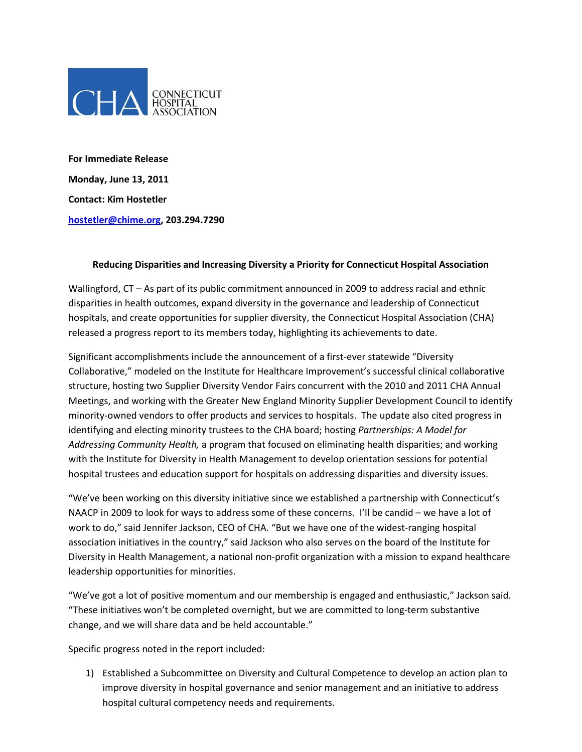

**For Immediate Release Monday, June 13, 2011 Contact: Kim Hostetler hostetler@chime.org, 203.294.7290**

## **Reducing Disparities and Increasing Diversity a Priority for Connecticut Hospital Association**

Wallingford, CT – As part of its public commitment announced in 2009 to address racial and ethnic disparities in health outcomes, expand diversity in the governance and leadership of Connecticut hospitals, and create opportunities for supplier diversity, the Connecticut Hospital Association (CHA) released a progress report to its members today, highlighting its achievements to date.

Significant accomplishments include the announcement of a first-ever statewide "Diversity Collaborative," modeled on the Institute for Healthcare Improvement's successful clinical collaborative structure, hosting two Supplier Diversity Vendor Fairs concurrent with the 2010 and 2011 CHA Annual Meetings, and working with the Greater New England Minority Supplier Development Council to identify minority-owned vendors to offer products and services to hospitals. The update also cited progress in identifying and electing minority trustees to the CHA board; hosting *Partnerships: A Model for Addressing Community Health,* a program that focused on eliminating health disparities; and working with the Institute for Diversity in Health Management to develop orientation sessions for potential hospital trustees and education support for hospitals on addressing disparities and diversity issues.

"We've been working on this diversity initiative since we established a partnership with Connecticut's NAACP in 2009 to look for ways to address some of these concerns. I'll be candid – we have a lot of work to do," said Jennifer Jackson, CEO of CHA. "But we have one of the widest-ranging hospital association initiatives in the country," said Jackson who also serves on the board of the Institute for Diversity in Health Management, a national non-profit organization with a mission to expand healthcare leadership opportunities for minorities.

"We've got a lot of positive momentum and our membership is engaged and enthusiastic," Jackson said. "These initiatives won't be completed overnight, but we are committed to long-term substantive change, and we will share data and be held accountable."

Specific progress noted in the report included:

1) Established a Subcommittee on Diversity and Cultural Competence to develop an action plan to improve diversity in hospital governance and senior management and an initiative to address hospital cultural competency needs and requirements.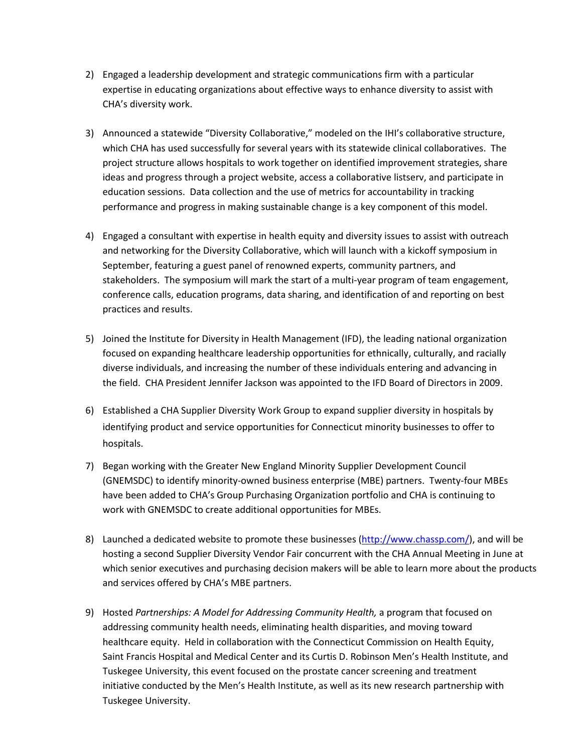- 2) Engaged a leadership development and strategic communications firm with a particular expertise in educating organizations about effective ways to enhance diversity to assist with CHA's diversity work.
- 3) Announced a statewide "Diversity Collaborative," modeled on the IHI's collaborative structure, which CHA has used successfully for several years with its statewide clinical collaboratives. The project structure allows hospitals to work together on identified improvement strategies, share ideas and progress through a project website, access a collaborative listserv, and participate in education sessions. Data collection and the use of metrics for accountability in tracking performance and progress in making sustainable change is a key component of this model.
- 4) Engaged a consultant with expertise in health equity and diversity issues to assist with outreach and networking for the Diversity Collaborative, which will launch with a kickoff symposium in September, featuring a guest panel of renowned experts, community partners, and stakeholders. The symposium will mark the start of a multi-year program of team engagement, conference calls, education programs, data sharing, and identification of and reporting on best practices and results.
- 5) Joined the Institute for Diversity in Health Management (IFD), the leading national organization focused on expanding healthcare leadership opportunities for ethnically, culturally, and racially diverse individuals, and increasing the number of these individuals entering and advancing in the field. CHA President Jennifer Jackson was appointed to the IFD Board of Directors in 2009.
- 6) Established a CHA Supplier Diversity Work Group to expand supplier diversity in hospitals by identifying product and service opportunities for Connecticut minority businesses to offer to hospitals.
- 7) Began working with the Greater New England Minority Supplier Development Council (GNEMSDC) to identify minority-owned business enterprise (MBE) partners. Twenty-four MBEs have been added to CHA's Group Purchasing Organization portfolio and CHA is continuing to work with GNEMSDC to create additional opportunities for MBEs.
- 8) Launched a dedicated website to promote these businesses [\(http://www.chassp.com/\)](http://www.chassp.com/), and will be hosting a second Supplier Diversity Vendor Fair concurrent with the CHA Annual Meeting in June at which senior executives and purchasing decision makers will be able to learn more about the products and services offered by CHA's MBE partners.
- 9) Hosted *Partnerships: A Model for Addressing Community Health,* a program that focused on addressing community health needs, eliminating health disparities, and moving toward healthcare equity. Held in collaboration with the Connecticut Commission on Health Equity, Saint Francis Hospital and Medical Center and its Curtis D. Robinson Men's Health Institute, and Tuskegee University, this event focused on the prostate cancer screening and treatment initiative conducted by the Men's Health Institute, as well as its new research partnership with Tuskegee University.